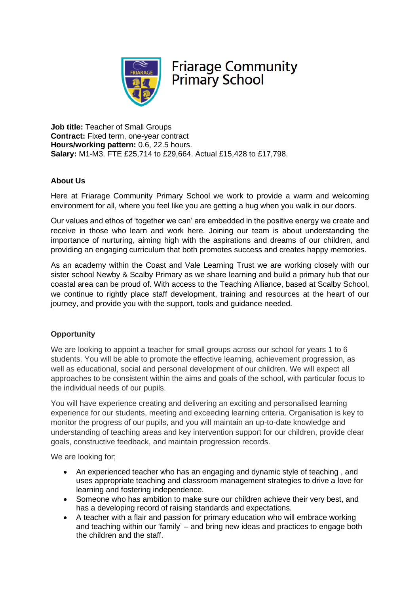

# **Friarage Community Primary School**

**Job title:** Teacher of Small Groups **Contract:** Fixed term, one-year contract **Hours/working pattern:** 0.6, 22.5 hours. **Salary:** M1-M3. FTE £25,714 to £29,664. Actual £15,428 to £17,798.

## **About Us**

Here at Friarage Community Primary School we work to provide a warm and welcoming environment for all, where you feel like you are getting a hug when you walk in our doors.

Our values and ethos of 'together we can' are embedded in the positive energy we create and receive in those who learn and work here. Joining our team is about understanding the importance of nurturing, aiming high with the aspirations and dreams of our children, and providing an engaging curriculum that both promotes success and creates happy memories.

As an academy within the Coast and Vale Learning Trust we are working closely with our sister school Newby & Scalby Primary as we share learning and build a primary hub that our coastal area can be proud of. With access to the Teaching Alliance, based at Scalby School, we continue to rightly place staff development, training and resources at the heart of our journey, and provide you with the support, tools and guidance needed.

### **Opportunity**

We are looking to appoint a teacher for small groups across our school for years 1 to 6 students. You will be able to promote the effective learning, achievement progression, as well as educational, social and personal development of our children. We will expect all approaches to be consistent within the aims and goals of the school, with particular focus to the individual needs of our pupils.

You will have experience creating and delivering an exciting and personalised learning experience for our students, meeting and exceeding learning criteria. Organisation is key to monitor the progress of our pupils, and you will maintain an up-to-date knowledge and understanding of teaching areas and key intervention support for our children, provide clear goals, constructive feedback, and maintain progression records.

We are looking for;

- An experienced teacher who has an engaging and dynamic style of teaching , and uses appropriate teaching and classroom management strategies to drive a love for learning and fostering independence.
- Someone who has ambition to make sure our children achieve their very best, and has a developing record of raising standards and expectations.
- A teacher with a flair and passion for primary education who will embrace working and teaching within our 'family' – and bring new ideas and practices to engage both the children and the staff.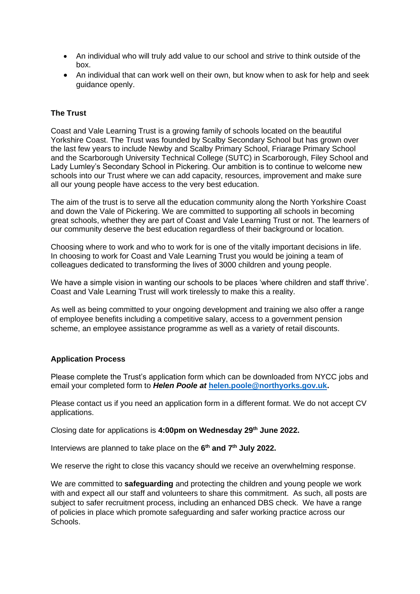- An individual who will truly add value to our school and strive to think outside of the box.
- An individual that can work well on their own, but know when to ask for help and seek guidance openly.

### **The Trust**

Coast and Vale Learning Trust is a growing family of schools located on the beautiful Yorkshire Coast. The Trust was founded by Scalby Secondary School but has grown over the last few years to include Newby and Scalby Primary School, Friarage Primary School and the Scarborough University Technical College (SUTC) in Scarborough, Filey School and Lady Lumley's Secondary School in Pickering. Our ambition is to continue to welcome new schools into our Trust where we can add capacity, resources, improvement and make sure all our young people have access to the very best education.

The aim of the trust is to serve all the education community along the North Yorkshire Coast and down the Vale of Pickering. We are committed to supporting all schools in becoming great schools, whether they are part of Coast and Vale Learning Trust or not. The learners of our community deserve the best education regardless of their background or location.

Choosing where to work and who to work for is one of the vitally important decisions in life. In choosing to work for Coast and Vale Learning Trust you would be joining a team of colleagues dedicated to transforming the lives of 3000 children and young people.

We have a simple vision in wanting our schools to be places 'where children and staff thrive'. Coast and Vale Learning Trust will work tirelessly to make this a reality.

As well as being committed to your ongoing development and training we also offer a range of employee benefits including a competitive salary, access to a government pension scheme, an employee assistance programme as well as a variety of retail discounts.

### **Application Process**

Please complete the Trust's application form which can be downloaded from NYCC jobs and email your completed form to *Helen Poole at* **[helen.poole@northyorks.gov.uk.](mailto:helen.poole@northyorks.gov.uk)**

Please contact us if you need an application form in a different format. We do not accept CV applications.

Closing date for applications is **4:00pm on Wednesday 29th June 2022.**

Interviews are planned to take place on the **6 th and 7th July 2022.**

We reserve the right to close this vacancy should we receive an overwhelming response.

We are committed to **safeguarding** and protecting the children and young people we work with and expect all our staff and volunteers to share this commitment. As such, all posts are subject to safer recruitment process, including an enhanced DBS check. We have a range of policies in place which promote safeguarding and safer working practice across our Schools.